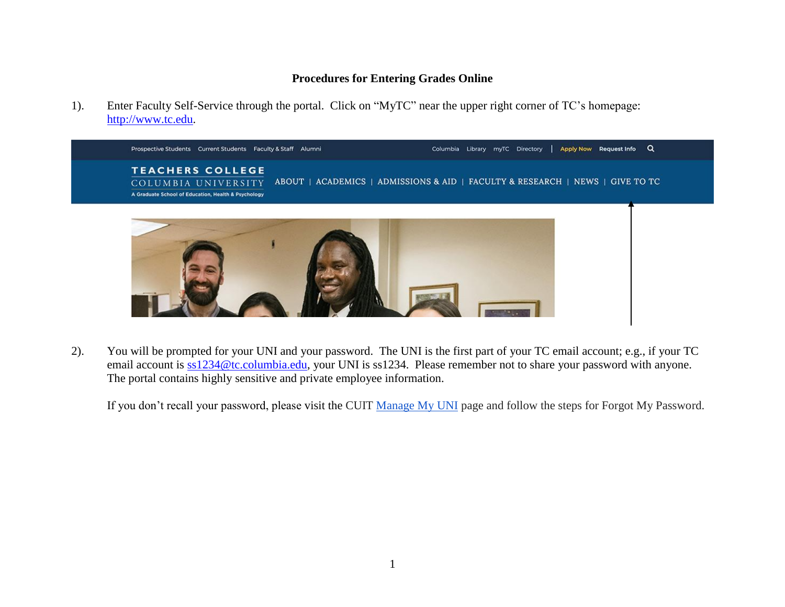## **Procedures for Entering Grades Online**

1). Enter Faculty Self-Service through the portal. Click on "MyTC" near the upper right corner of TC's homepage: [http://www.tc.edu.](http://www.tc.edu/)



2). You will be prompted for your UNI and your password. The UNI is the first part of your TC email account; e.g., if your TC email account is  $ss1234@tc.columbia.edu$ , your UNI is ss1234. Please remember not to share your password with anyone. The portal contains highly sensitive and private employee information.

If you don't recall your password, please visit the CUIT [Manage My UNI](https://cuit.columbia.edu/cuit/manage-my-uni) page and follow the steps for Forgot My Password.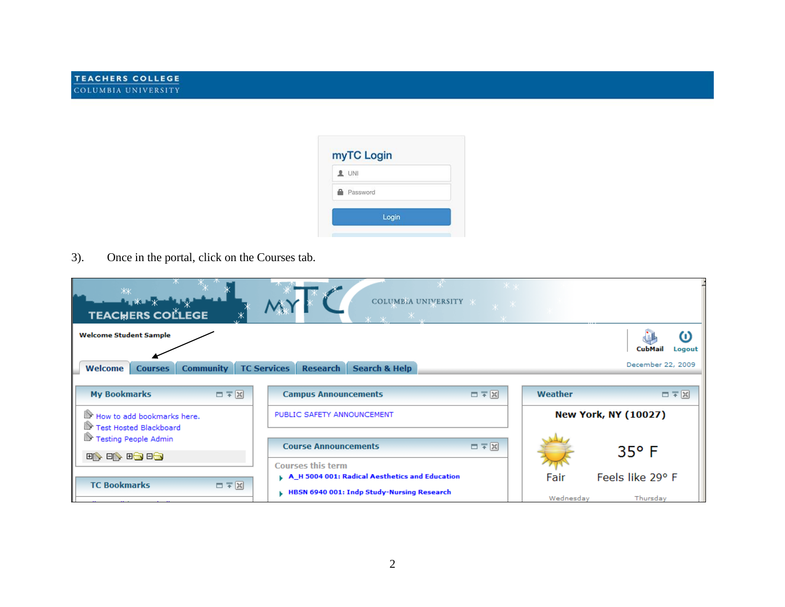

3). Once in the portal, click on the Courses tab.

| ЖК<br><b>A</b> X X<br><b>TEACHERS COLLEGE</b>                                    | $ \overline{X}$ $\overline{X}$<br>COLUMBIA UNIVERSITY *<br>lv XI<br>$\mathbf{x} = \mathbf{x}$ |                                                    |
|----------------------------------------------------------------------------------|-----------------------------------------------------------------------------------------------|----------------------------------------------------|
| <b>Welcome Student Sample</b><br>Welcome<br><b>Community</b><br><b>Courses</b>   | <b>Search &amp; Help</b><br><b>TC Services</b><br><b>Research</b>                             | ω<br><b>CubMail</b><br>Logout<br>December 22, 2009 |
| ロテ図<br><b>My Bookmarks</b>                                                       | ロテ図<br><b>Campus Announcements</b>                                                            | ロテ図<br>Weather                                     |
| How to add bookmarks here.<br>Test Hosted Blackboard<br>For Testing People Admin | PUBLIC SAFETY ANNOUNCEMENT<br>ロテ図<br><b>Course Announcements</b>                              | <b>New York, NY (10027)</b>                        |
| 1981 1981 1981                                                                   | <b>Courses this term</b><br>A_H 5004 001: Radical Aesthetics and Education                    | $35^{\circ}$ F<br>Feels like 29° F<br>Fair         |
| ロテ図<br><b>TC Bookmarks</b>                                                       | HBSN 6940 001: Indp Study-Nursing Research                                                    | Wednesday<br>Thursday                              |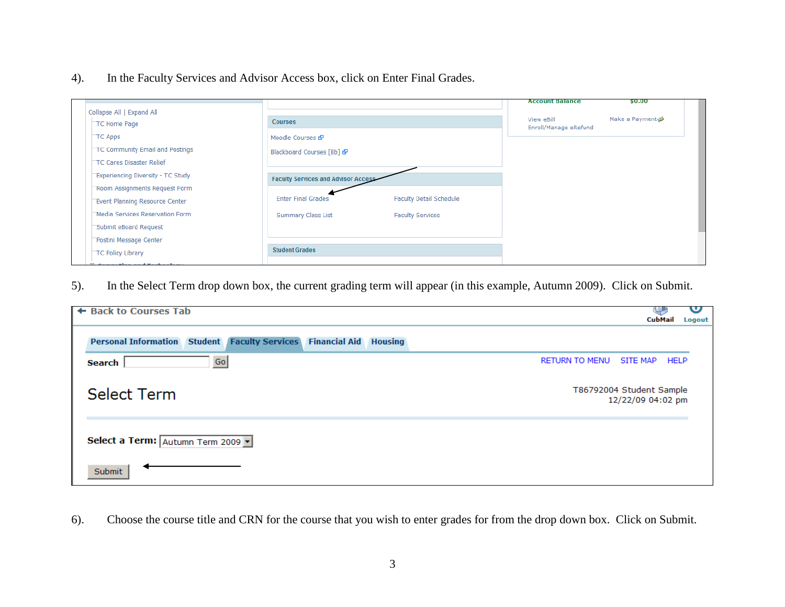4). In the Faculty Services and Advisor Access box, click on Enter Final Grades.

|                                           |                                     |                                | <b>Account Balance</b>              | \$0.00         |
|-------------------------------------------|-------------------------------------|--------------------------------|-------------------------------------|----------------|
| Collapse All   Expand All<br>TC Home Page | <b>Courses</b>                      |                                | View eBill<br>Enroll/Manage eRefund | Make a Payment |
| <b>TC Apps</b>                            | Moodle Courses &                    |                                |                                     |                |
| TC Community Email and Postings           | Blackboard Courses [Bb] @           |                                |                                     |                |
| TC Cares Disaster Relief                  |                                     |                                |                                     |                |
| "Experiencing Diversity - TC Study        | Faculty Services and Advisor Access |                                |                                     |                |
| "Room Assignments Request Form            |                                     |                                |                                     |                |
| "Event Planning Resource Center           | <b>Enter Final Grades</b>           | <b>Faculty Detail Schedule</b> |                                     |                |
| "Media Services Reservation Form          | <b>Summary Class List</b>           | <b>Faculty Services</b>        |                                     |                |
| "Submit eBoard Request                    |                                     |                                |                                     |                |
| "Postini Message Center                   |                                     |                                |                                     |                |
| TC Policy Library                         | <b>Student Grades</b>               |                                |                                     |                |
| and the process of the country            |                                     |                                |                                     |                |

5). In the Select Term drop down box, the current grading term will appear (in this example, Autumn 2009). Click on Submit.

| ← Back to Courses Tab                                               |                                               | <b>CubMail</b> | ഄ<br>Logout |
|---------------------------------------------------------------------|-----------------------------------------------|----------------|-------------|
| Personal Information Student Faculty Services Financial Aid Housing |                                               |                |             |
| <b>RETURN TO MENU</b><br>Go<br>Search                               | SITE MAP                                      | <b>HELP</b>    |             |
| <b>Select Term</b>                                                  | T86792004 Student Sample<br>12/22/09 04:02 pm |                |             |
| Select a Term: Autumn Term 2009 -                                   |                                               |                |             |
| Submit                                                              |                                               |                |             |

6). Choose the course title and CRN for the course that you wish to enter grades for from the drop down box. Click on Submit.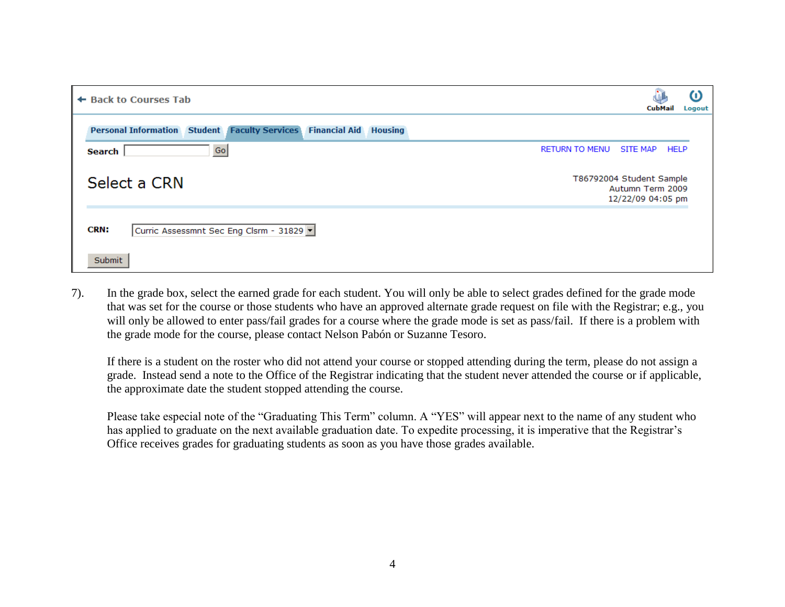| ← Back to Courses Tab                                                                | CubMail                                                           | $\omega$<br>Logout |
|--------------------------------------------------------------------------------------|-------------------------------------------------------------------|--------------------|
| <b>Personal Information Student Faculty Services</b><br><b>Financial Aid Housing</b> |                                                                   |                    |
| <b>RETURN TO MENU</b><br>Go<br>Search                                                | <b>SITE MAP</b>                                                   | <b>HELP</b>        |
| Select a CRN                                                                         | T86792004 Student Sample<br>Autumn Term 2009<br>12/22/09 04:05 pm |                    |
| <b>CRN:</b><br>Curric Assessmnt Sec Eng Clsrm - 31829 v                              |                                                                   |                    |
| Submit                                                                               |                                                                   |                    |

7). In the grade box, select the earned grade for each student. You will only be able to select grades defined for the grade mode that was set for the course or those students who have an approved alternate grade request on file with the Registrar; e.g., you will only be allowed to enter pass/fail grades for a course where the grade mode is set as pass/fail. If there is a problem with the grade mode for the course, please contact Nelson Pabón or Suzanne Tesoro.

If there is a student on the roster who did not attend your course or stopped attending during the term, please do not assign a grade. Instead send a note to the Office of the Registrar indicating that the student never attended the course or if applicable, the approximate date the student stopped attending the course.

Please take especial note of the "Graduating This Term" column. A "YES" will appear next to the name of any student who has applied to graduate on the next available graduation date. To expedite processing, it is imperative that the Registrar's Office receives grades for graduating students as soon as you have those grades available.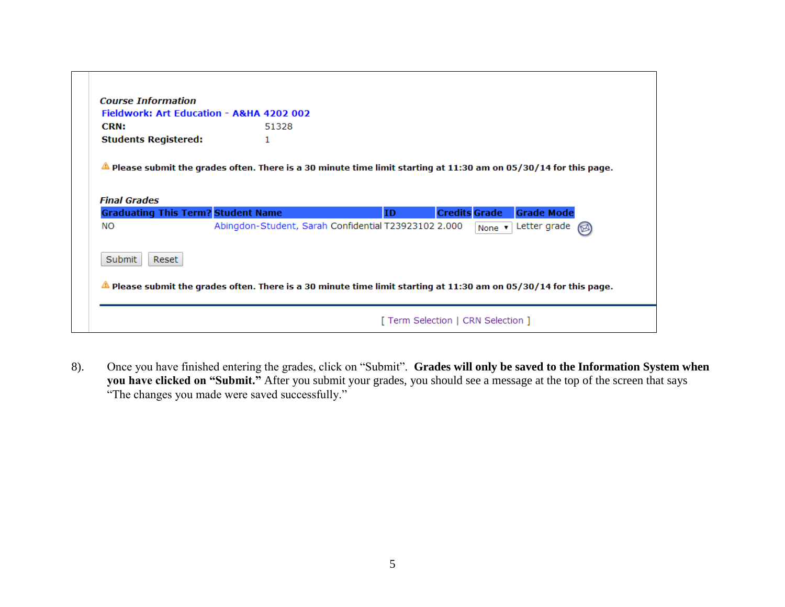| Fieldwork: Art Education - A&HA 4202 002                                                                                    |                                                      |     |                      |                     |     |
|-----------------------------------------------------------------------------------------------------------------------------|------------------------------------------------------|-----|----------------------|---------------------|-----|
| <b>CRN:</b>                                                                                                                 | 51328                                                |     |                      |                     |     |
| <b>Students Registered:</b>                                                                                                 | 1                                                    |     |                      |                     |     |
| $\triangle$ Please submit the grades often. There is a 30 minute time limit starting at 11:30 am on 05/30/14 for this page. |                                                      |     |                      |                     |     |
|                                                                                                                             |                                                      |     |                      |                     |     |
|                                                                                                                             |                                                      |     |                      |                     |     |
|                                                                                                                             |                                                      |     |                      |                     |     |
|                                                                                                                             |                                                      | ID. | <b>Credits Grade</b> | <b>Grade Mode</b>   |     |
|                                                                                                                             | Abingdon-Student, Sarah Confidential T23923102 2.000 |     |                      | None v Letter grade | (⊠) |
| <b>Final Grades</b><br><b>Graduating This Term? Student Name</b><br>NO<br>Submit<br>Reset                                   |                                                      |     |                      |                     |     |

8). Once you have finished entering the grades, click on "Submit". **Grades will only be saved to the Information System when you have clicked on "Submit."** After you submit your grades, you should see a message at the top of the screen that says "The changes you made were saved successfully."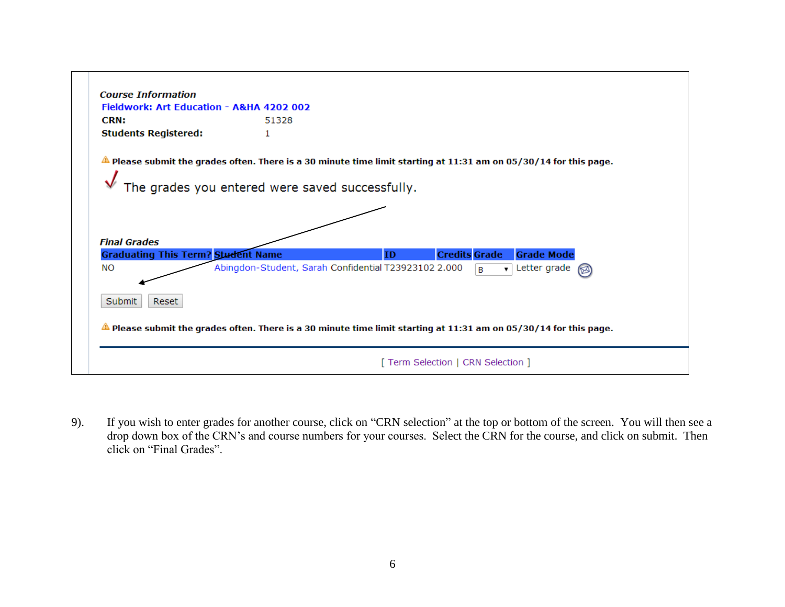| <b>Course Information</b>                                        |                                                                                                                                                                                |
|------------------------------------------------------------------|--------------------------------------------------------------------------------------------------------------------------------------------------------------------------------|
| Fieldwork: Art Education - A&HA 4202 002                         |                                                                                                                                                                                |
| <b>CRN:</b>                                                      | 51328                                                                                                                                                                          |
| <b>Students Registered:</b>                                      | 1                                                                                                                                                                              |
|                                                                  | $\triangle$ Please submit the grades often. There is a 30 minute time limit starting at 11:31 am on 05/30/14 for this page.<br>The grades you entered were saved successfully. |
| <b>Final Grades</b><br><b>Graduating This Term? Student Name</b> | <b>Grade Mode</b><br><b>Credits Grade</b><br><b>ID</b>                                                                                                                         |
| <b>NO</b>                                                        | Abingdon-Student, Sarah Confidential T23923102 2.000<br>$\overline{\mathbf{v}}$ Letter grade<br>B.                                                                             |
| Submit<br>Reset                                                  |                                                                                                                                                                                |
|                                                                  | $\triangle$ Please submit the grades often. There is a 30 minute time limit starting at 11:31 am on 05/30/14 for this page.                                                    |
|                                                                  | [ Term Selection   CRN Selection ]                                                                                                                                             |

9). If you wish to enter grades for another course, click on "CRN selection" at the top or bottom of the screen. You will then see a drop down box of the CRN's and course numbers for your courses. Select the CRN for the course, and click on submit. Then click on "Final Grades".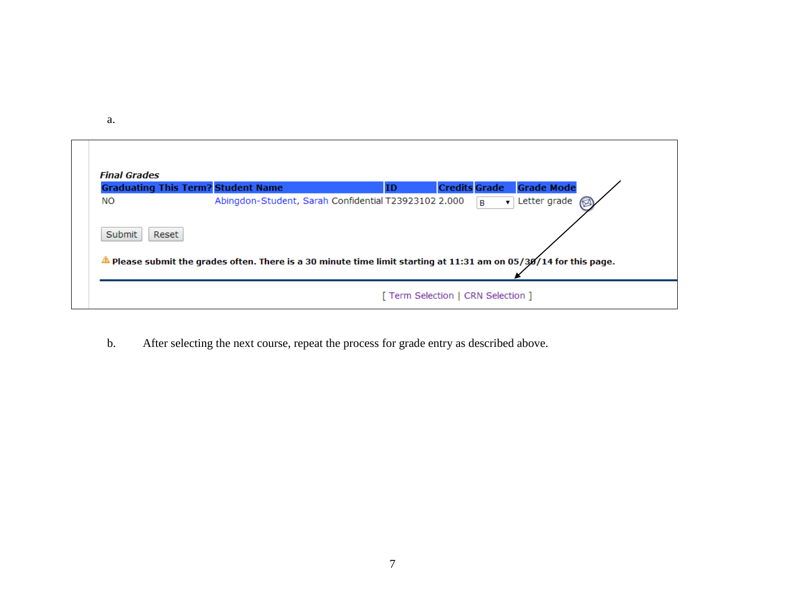a.

|                                     | <b>Graduating This Term? Student Name</b>                                                                                                                               | ID | <b>Credits Grade</b>         | <b>Grade Mode</b> |
|-------------------------------------|-------------------------------------------------------------------------------------------------------------------------------------------------------------------------|----|------------------------------|-------------------|
| <b>NO</b><br><b>Submit</b><br>Reset | Abingdon-Student, Sarah Confidential T23923102 2.000<br>Please submit the grades often. There is a 30 minute time limit starting at 11:31 am on 05/30/14 for this page. |    | $\mathbf{B}$<br>$\mathbf{v}$ | Letter grade      |

┑

b. After selecting the next course, repeat the process for grade entry as described above.